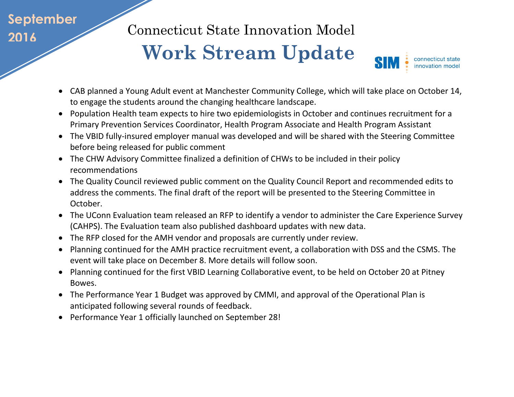## **September 2016**

Connecticut State Innovation Model

## **Work Stream Update**



- CAB planned a Young Adult event at Manchester Community College, which will take place on October 14, to engage the students around the changing healthcare landscape.
- Population Health team expects to hire two epidemiologists in October and continues recruitment for a Primary Prevention Services Coordinator, Health Program Associate and Health Program Assistant
- The VBID fully-insured [employer manual](http://www.healthreform.ct.gov/ohri/lib/ohri/sim/steering_committee/2016/(07-14)/final_self-insured_v-bid_manual_07082016.pdf) was developed and will be shared with the Steering Committee before being released for public comment
- The CHW Advisory Committee finalized a definition of CHWs to be included in their policy recommendations
- The Quality Council reviewed public comment on the Quality Council Report and recommended edits to address the comments. The final draft of the report will be presented to the Steering Committee in October.
- The UConn Evaluation team released an RFP to identify a vendor to administer the Care Experience Survey (CAHPS). The Evaluation team also published dashboard updates with new data.
- The RFP closed for the AMH vendor and proposals are currently under review.
- Planning continued for the AMH practice recruitment event, a collaboration with DSS and the CSMS. The event will take place on December 8. More details will follow soon.
- Planning continued for the first VBID Learning Collaborative event, to be held on October 20 at Pitney Bowes.
- The Performance Year 1 Budget was approved by CMMI, and approval of the Operational Plan is anticipated following several rounds of feedback.
- Performance Year 1 officially launched on September 28!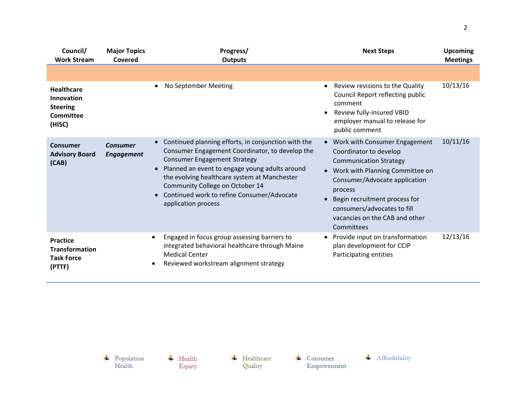| Council/<br><b>Work Stream</b>                                            | <b>Major Topics</b><br>Covered       | Progress/<br><b>Outputs</b>                                                                                                                                                                                                                                                                                                                             | <b>Next Steps</b>                                                                                                                                                                                                                                                                                      | <b>Upcoming</b><br><b>Meetings</b> |
|---------------------------------------------------------------------------|--------------------------------------|---------------------------------------------------------------------------------------------------------------------------------------------------------------------------------------------------------------------------------------------------------------------------------------------------------------------------------------------------------|--------------------------------------------------------------------------------------------------------------------------------------------------------------------------------------------------------------------------------------------------------------------------------------------------------|------------------------------------|
|                                                                           |                                      |                                                                                                                                                                                                                                                                                                                                                         |                                                                                                                                                                                                                                                                                                        |                                    |
| <b>Healthcare</b><br>Innovation<br><b>Steering</b><br>Committee<br>(HISC) |                                      | No September Meeting                                                                                                                                                                                                                                                                                                                                    | Review revisions to the Quality<br>Council Report reflecting public<br>comment<br>Review fully-insured VBID<br>employer manual to release for<br>public comment                                                                                                                                        | 10/13/16                           |
| Consumer<br><b>Advisory Board</b><br>(CAB)                                | <b>Consumer</b><br><b>Engagement</b> | Continued planning efforts, in conjunction with the<br>Consumer Engagement Coordinator, to develop the<br><b>Consumer Engagement Strategy</b><br>Planned an event to engage young adults around<br>the evolving healthcare system at Manchester<br>Community College on October 14<br>Continued work to refine Consumer/Advocate<br>application process | Work with Consumer Engagement<br>$\bullet$<br>Coordinator to develop<br><b>Communication Strategy</b><br>• Work with Planning Committee on<br>Consumer/Advocate application<br>process<br>Begin recruitment process for<br>consumers/advocates to fill<br>vacancies on the CAB and other<br>Committees | 10/11/16                           |
| <b>Practice</b><br><b>Transformation</b><br><b>Task Force</b><br>(PTTF)   |                                      | Engaged in focus group assessing barriers to<br>$\bullet$<br>integrated behavioral healthcare through Maine<br><b>Medical Center</b><br>Reviewed workstream alignment strategy<br>$\bullet$                                                                                                                                                             | Provide input on transformation<br>plan development for CCIP<br>Participating entities                                                                                                                                                                                                                 | 12/13/16                           |

 $\leftarrow$  Healthcare

Quality

 $\begin{array}{c} \text{\textcolor{red}{\textbf{+}}} & \text{Population} \\ \text{Health} \end{array}$ 

 $\overline{\phantom{a}}$  Health

Equity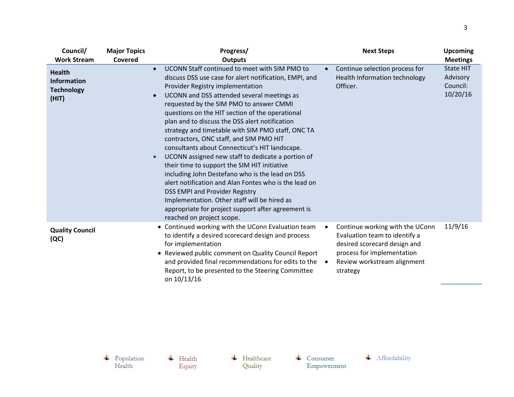| Council/                                                                                | <b>Major Topics</b> | Progress/                                                                                                                                                                                                                                                                                                                                                                                                                                                                                                                                                                                                                                                                                                                                                                                                                                                                                                                                         | <b>Next Steps</b>                                                                                                                                                                      | <b>Upcoming</b>                                                         |
|-----------------------------------------------------------------------------------------|---------------------|---------------------------------------------------------------------------------------------------------------------------------------------------------------------------------------------------------------------------------------------------------------------------------------------------------------------------------------------------------------------------------------------------------------------------------------------------------------------------------------------------------------------------------------------------------------------------------------------------------------------------------------------------------------------------------------------------------------------------------------------------------------------------------------------------------------------------------------------------------------------------------------------------------------------------------------------------|----------------------------------------------------------------------------------------------------------------------------------------------------------------------------------------|-------------------------------------------------------------------------|
| <b>Work Stream</b><br><b>Health</b><br><b>Information</b><br><b>Technology</b><br>(HIT) | Covered             | <b>Outputs</b><br>UCONN Staff continued to meet with SIM PMO to<br>$\bullet$<br>discuss DSS use case for alert notification, EMPI, and<br>Provider Registry implementation<br>UCONN and DSS attended several meetings as<br>$\bullet$<br>requested by the SIM PMO to answer CMMI<br>questions on the HIT section of the operational<br>plan and to discuss the DSS alert notification<br>strategy and timetable with SIM PMO staff, ONC TA<br>contractors, ONC staff, and SIM PMO HIT<br>consultants about Connecticut's HIT landscape.<br>UCONN assigned new staff to dedicate a portion of<br>$\bullet$<br>their time to support the SIM HIT initiative<br>including John Destefano who is the lead on DSS<br>alert notification and Alan Fontes who is the lead on<br><b>DSS EMPI and Provider Registry</b><br>Implementation. Other staff will be hired as<br>appropriate for project support after agreement is<br>reached on project scope. | Continue selection process for<br>$\bullet$<br>Health Information technology<br>Officer.                                                                                               | <b>Meetings</b><br><b>State HIT</b><br>Advisory<br>Council:<br>10/20/16 |
| <b>Quality Council</b><br>(QC)                                                          |                     | • Continued working with the UConn Evaluation team<br>to identify a desired scorecard design and process<br>for implementation<br>• Reviewed public comment on Quality Council Report<br>and provided final recommendations for edits to the<br>Report, to be presented to the Steering Committee<br>on 10/13/16                                                                                                                                                                                                                                                                                                                                                                                                                                                                                                                                                                                                                                  | Continue working with the UConn<br>Evaluation team to identify a<br>desired scorecard design and<br>process for implementation<br>Review workstream alignment<br>$\bullet$<br>strategy | 11/9/16                                                                 |

 $\overline{\phantom{a}}$  Health Equity  $\leftarrow$  Healthcare Quality

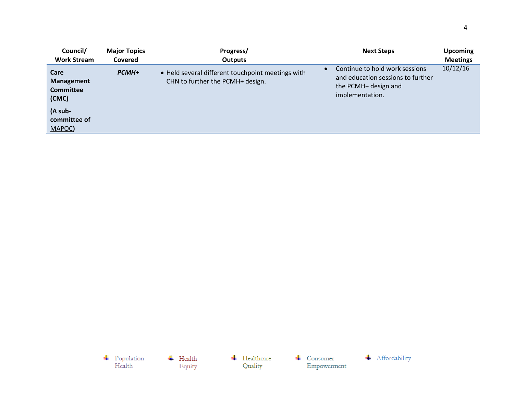| Council/                                               | <b>Major Topics</b> | Progress/                                                                             | <b>Next Steps</b>                                                                                              | <b>Upcoming</b> |
|--------------------------------------------------------|---------------------|---------------------------------------------------------------------------------------|----------------------------------------------------------------------------------------------------------------|-----------------|
| <b>Work Stream</b>                                     | <b>Covered</b>      | <b>Outputs</b>                                                                        |                                                                                                                | <b>Meetings</b> |
| Care<br><b>Management</b><br><b>Committee</b><br>(CMC) | <b>PCMH+</b>        | • Held several different touchpoint meetings with<br>CHN to further the PCMH+ design. | Continue to hold work sessions<br>and education sessions to further<br>the PCMH+ design and<br>implementation. | 10/12/16        |
| (A sub-<br>committee of<br>MAPOC)                      |                     |                                                                                       |                                                                                                                |                 |

 $\begin{array}{c} \text{\textcolor{red}{\textbf{+}}} & \text{Population} \\ \text{Health} \end{array}$ + Affordability  $\leftarrow$  Healthcare  $\overline{\phantom{a}}$  Health  $\leftarrow$  Consumer Quality Empowerment Equity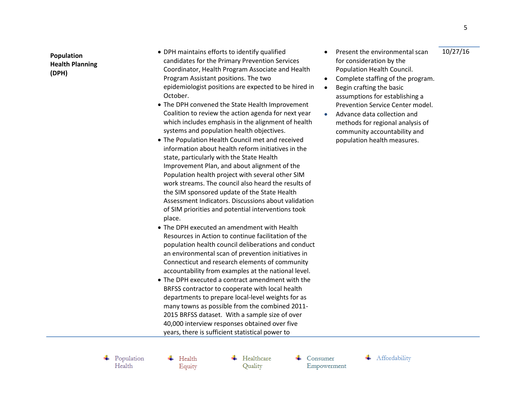**Population Health Planning (DPH)**

- DPH maintains efforts to identify qualified candidates for the Primary Prevention Services Coordinator, Health Program Associate and Health Program Assistant positions. The two epidemiologist positions are expected to be hired in October.
- The DPH convened the State Health Improvement Coalition to review the action agenda for next year which includes emphasis in the alignment of health systems and population health objectives.
- The Population Health Council met and received information about health reform initiatives in the state, particularly with the State Health Improvement Plan, and about alignment of the Population health project with several other SIM work streams. The council also heard the results of the SIM sponsored update of the State Health Assessment Indicators. Discussions about validation of SIM priorities and potential interventions took place.
- The DPH executed an amendment with Health Resources in Action to continue facilitation of the population health council deliberations and conduct an environmental scan of prevention initiatives in Connecticut and research elements of community accountability from examples at the national level.
- The DPH executed a contract amendment with the BRFSS contractor to cooperate with local health departments to prepare local-level weights for as many towns as possible from the combined 2011- 2015 BRFSS dataset. With a sample size of over 40,000 interview responses obtained over five years, there is sufficient statistical power to
- Present the environmental scan for consideration by the Population Health Council. 10/27/16
- Complete staffing of the program.
- Begin crafting the basic assumptions for establishing a Prevention Service Center model.
- Advance data collection and methods for regional analysis of community accountability and population health measures.

5

 $\leftarrow$  Population Health

 $\leftarrow$  Health Equity  $\leftarrow$  Healthcare Quality

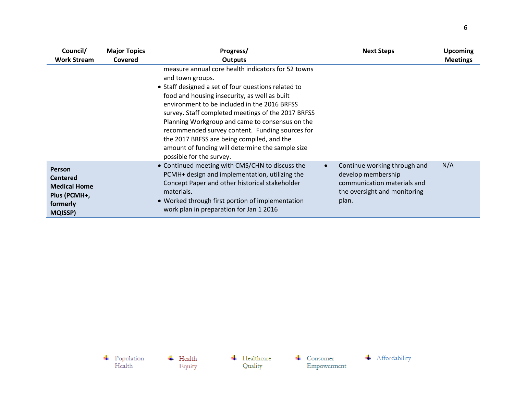| Council/<br><b>Work Stream</b>                                                                        | <b>Major Topics</b><br>Covered | Progress/<br><b>Outputs</b>                                                                                                                                                                                                                                                                                                                                                                                                                                                                                              |           | <b>Next Steps</b>                                                                                                          | <b>Upcoming</b><br><b>Meetings</b> |
|-------------------------------------------------------------------------------------------------------|--------------------------------|--------------------------------------------------------------------------------------------------------------------------------------------------------------------------------------------------------------------------------------------------------------------------------------------------------------------------------------------------------------------------------------------------------------------------------------------------------------------------------------------------------------------------|-----------|----------------------------------------------------------------------------------------------------------------------------|------------------------------------|
|                                                                                                       |                                | measure annual core health indicators for 52 towns<br>and town groups.<br>• Staff designed a set of four questions related to<br>food and housing insecurity, as well as built<br>environment to be included in the 2016 BRFSS<br>survey. Staff completed meetings of the 2017 BRFSS<br>Planning Workgroup and came to consensus on the<br>recommended survey content. Funding sources for<br>the 2017 BRFSS are being compiled, and the<br>amount of funding will determine the sample size<br>possible for the survey. |           |                                                                                                                            |                                    |
| <b>Person</b><br><b>Centered</b><br><b>Medical Home</b><br>Plus (PCMH+,<br>formerly<br><b>MQISSP)</b> |                                | • Continued meeting with CMS/CHN to discuss the<br>PCMH+ design and implementation, utilizing the<br>Concept Paper and other historical stakeholder<br>materials.<br>• Worked through first portion of implementation<br>work plan in preparation for Jan 1 2016                                                                                                                                                                                                                                                         | $\bullet$ | Continue working through and<br>develop membership<br>communication materials and<br>the oversight and monitoring<br>plan. | N/A                                |

 $\begin{array}{c} \text{\textcolor{red}{\textbf{+}}} & \text{Population} \\ \text{Health} \end{array}$ 

 $\overline{\phantom{a}}$  Health Equity  $\leftarrow$  Healthcare Quality

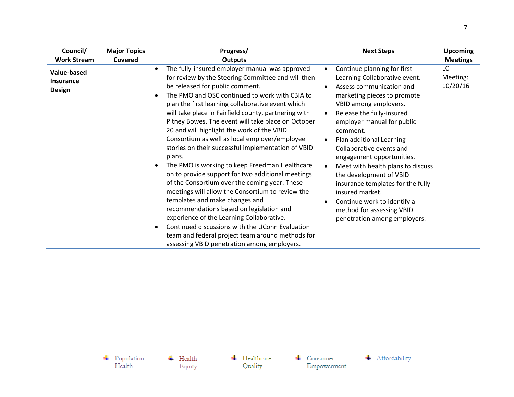| Council/                                                | <b>Major Topics</b> | Progress/                                                                                                                                                                                                                                                                                                                                                                                                                                                                                                                                                                                                                                                                                                                                                                                                                                                                                                                                                                                                                | <b>Next Steps</b>                                                                                                                                                                                                                                                                                                                                                                                                                                                                                                                                           | <b>Upcoming</b>            |
|---------------------------------------------------------|---------------------|--------------------------------------------------------------------------------------------------------------------------------------------------------------------------------------------------------------------------------------------------------------------------------------------------------------------------------------------------------------------------------------------------------------------------------------------------------------------------------------------------------------------------------------------------------------------------------------------------------------------------------------------------------------------------------------------------------------------------------------------------------------------------------------------------------------------------------------------------------------------------------------------------------------------------------------------------------------------------------------------------------------------------|-------------------------------------------------------------------------------------------------------------------------------------------------------------------------------------------------------------------------------------------------------------------------------------------------------------------------------------------------------------------------------------------------------------------------------------------------------------------------------------------------------------------------------------------------------------|----------------------------|
| <b>Work Stream</b>                                      | Covered             | Outputs                                                                                                                                                                                                                                                                                                                                                                                                                                                                                                                                                                                                                                                                                                                                                                                                                                                                                                                                                                                                                  |                                                                                                                                                                                                                                                                                                                                                                                                                                                                                                                                                             | <b>Meetings</b>            |
| <b>Value-based</b><br><b>Insurance</b><br><b>Design</b> |                     | The fully-insured employer manual was approved<br>for review by the Steering Committee and will then<br>be released for public comment.<br>The PMO and OSC continued to work with CBIA to<br>plan the first learning collaborative event which<br>will take place in Fairfield county, partnering with<br>Pitney Bowes. The event will take place on October<br>20 and will highlight the work of the VBID<br>Consortium as well as local employer/employee<br>stories on their successful implementation of VBID<br>plans.<br>The PMO is working to keep Freedman Healthcare<br>on to provide support for two additional meetings<br>of the Consortium over the coming year. These<br>meetings will allow the Consortium to review the<br>templates and make changes and<br>recommendations based on legislation and<br>experience of the Learning Collaborative.<br>Continued discussions with the UConn Evaluation<br>team and federal project team around methods for<br>assessing VBID penetration among employers. | Continue planning for first<br>Learning Collaborative event.<br>Assess communication and<br>marketing pieces to promote<br>VBID among employers.<br>Release the fully-insured<br>$\bullet$<br>employer manual for public<br>comment.<br>Plan additional Learning<br>Collaborative events and<br>engagement opportunities.<br>Meet with health plans to discuss<br>$\bullet$<br>the development of VBID<br>insurance templates for the fully-<br>insured market.<br>Continue work to identify a<br>method for assessing VBID<br>penetration among employers. | LC<br>Meeting:<br>10/20/16 |

 $\begin{array}{c} \text{\textcolor{red}{\textbf{+}}} & \text{Population} \\ \text{Health} \end{array}$ 

 $\overline{\phantom{a}}$  Health Equity  $\leftarrow$  Healthcare Quality

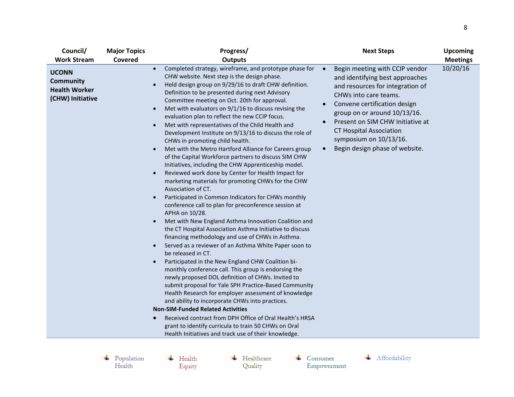| Council/                                                                     | <b>Major Topics</b> | Progress/                                                                                                                                                                                                                                                                                                                                                                                                                                                                                                                                                                                                                                                                                                                                                                                                                                                                                                                                                                                                                                                                                                                                                                                                                                                                                                                                                                                                                                                                                                                                                                                                                                                                                                                                                                                                                                                                                                                                       | <b>Next Steps</b>                                                                                                                                                                                                                                                                                                                             | <b>Upcoming</b> |
|------------------------------------------------------------------------------|---------------------|-------------------------------------------------------------------------------------------------------------------------------------------------------------------------------------------------------------------------------------------------------------------------------------------------------------------------------------------------------------------------------------------------------------------------------------------------------------------------------------------------------------------------------------------------------------------------------------------------------------------------------------------------------------------------------------------------------------------------------------------------------------------------------------------------------------------------------------------------------------------------------------------------------------------------------------------------------------------------------------------------------------------------------------------------------------------------------------------------------------------------------------------------------------------------------------------------------------------------------------------------------------------------------------------------------------------------------------------------------------------------------------------------------------------------------------------------------------------------------------------------------------------------------------------------------------------------------------------------------------------------------------------------------------------------------------------------------------------------------------------------------------------------------------------------------------------------------------------------------------------------------------------------------------------------------------------------|-----------------------------------------------------------------------------------------------------------------------------------------------------------------------------------------------------------------------------------------------------------------------------------------------------------------------------------------------|-----------------|
| <b>Work Stream</b>                                                           | Covered             | <b>Outputs</b>                                                                                                                                                                                                                                                                                                                                                                                                                                                                                                                                                                                                                                                                                                                                                                                                                                                                                                                                                                                                                                                                                                                                                                                                                                                                                                                                                                                                                                                                                                                                                                                                                                                                                                                                                                                                                                                                                                                                  |                                                                                                                                                                                                                                                                                                                                               | <b>Meetings</b> |
| <b>UCONN</b><br><b>Community</b><br><b>Health Worker</b><br>(CHW) Initiative |                     | Completed strategy, wireframe, and prototype phase for<br>$\bullet$<br>CHW website. Next step is the design phase.<br>Held design group on 9/29/16 to draft CHW definition.<br>$\bullet$<br>Definition to be presented during next Advisory<br>Committee meeting on Oct. 20th for approval.<br>Met with evaluators on $9/1/16$ to discuss revising the<br>$\bullet$<br>evaluation plan to reflect the new CCIP focus.<br>Met with representatives of the Child Health and<br>$\bullet$<br>Development Institute on 9/13/16 to discuss the role of<br>CHWs in promoting child health.<br>Met with the Metro Hartford Alliance for Careers group<br>$\bullet$<br>of the Capital Workforce partners to discuss SIM CHW<br>Initiatives, including the CHW Apprenticeship model.<br>Reviewed work done by Center for Health Impact for<br>$\bullet$<br>marketing materials for promoting CHWs for the CHW<br>Association of CT.<br>Participated in Common Indicators for CHWs monthly<br>$\bullet$<br>conference call to plan for preconference session at<br>APHA on 10/28.<br>Met with New England Asthma Innovation Coalition and<br>$\bullet$<br>the CT Hospital Association Asthma Initiative to discuss<br>financing methodology and use of CHWs in Asthma.<br>Served as a reviewer of an Asthma White Paper soon to<br>$\bullet$<br>be released in CT.<br>Participated in the New England CHW Coalition bi-<br>$\bullet$<br>monthly conference call. This group is endorsing the<br>newly proposed DOL definition of CHWs. Invited to<br>submit proposal for Yale SPH Practice-Based Community<br>Health Research for employer assessment of knowledge<br>and ability to incorporate CHWs into practices.<br><b>Non-SIM-Funded Related Activities</b><br>Received contract from DPH Office of Oral Health's HRSA<br>$\bullet$<br>grant to identify curricula to train 50 CHWs on Oral<br>Health Initiatives and track use of their knowledge. | Begin meeting with CCIP vendor<br>and identifying best approaches<br>and resources for integration of<br>CHWs into care teams.<br>Convene certification design<br>group on or around 10/13/16.<br>Present on SIM CHW Initiative at<br>$\bullet$<br><b>CT Hospital Association</b><br>symposium on 10/13/16.<br>Begin design phase of website. | 10/20/16        |

 $\begin{array}{c} \text{\textcolor{red}{\textbf{+}}} & \text{Population} \\ \text{Health} \end{array}$ 

 $\overline{\phantom{a}}$  Health Equity  $\leftarrow$  Healthcare Quality

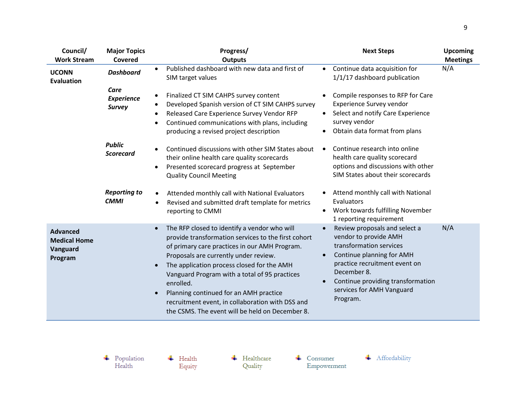| Council/                                                      | <b>Major Topics</b>                        | Progress/                                                                                                                                                                                                                                                                                                                                                                                                                                                               | <b>Next Steps</b>                                                                                                                                                                                                                                                      | <b>Upcoming</b> |
|---------------------------------------------------------------|--------------------------------------------|-------------------------------------------------------------------------------------------------------------------------------------------------------------------------------------------------------------------------------------------------------------------------------------------------------------------------------------------------------------------------------------------------------------------------------------------------------------------------|------------------------------------------------------------------------------------------------------------------------------------------------------------------------------------------------------------------------------------------------------------------------|-----------------|
| <b>Work Stream</b>                                            | Covered                                    | <b>Outputs</b>                                                                                                                                                                                                                                                                                                                                                                                                                                                          |                                                                                                                                                                                                                                                                        | <b>Meetings</b> |
| <b>UCONN</b><br><b>Evaluation</b>                             | <b>Dashboard</b>                           | Published dashboard with new data and first of<br>$\bullet$<br>SIM target values                                                                                                                                                                                                                                                                                                                                                                                        | Continue data acquisition for<br>$\bullet$<br>1/1/17 dashboard publication                                                                                                                                                                                             | N/A             |
|                                                               | Care<br><b>Experience</b><br><b>Survey</b> | Finalized CT SIM CAHPS survey content<br>Developed Spanish version of CT SIM CAHPS survey<br>Released Care Experience Survey Vendor RFP<br>Continued communications with plans, including<br>producing a revised project description                                                                                                                                                                                                                                    | Compile responses to RFP for Care<br><b>Experience Survey vendor</b><br>Select and notify Care Experience<br>$\bullet$<br>survey vendor<br>Obtain data format from plans                                                                                               |                 |
|                                                               | <b>Public</b><br><b>Scorecard</b>          | Continued discussions with other SIM States about<br>$\bullet$<br>their online health care quality scorecards<br>Presented scorecard progress at September<br>$\bullet$<br><b>Quality Council Meeting</b>                                                                                                                                                                                                                                                               | Continue research into online<br>$\bullet$<br>health care quality scorecard<br>options and discussions with other<br>SIM States about their scorecards                                                                                                                 |                 |
|                                                               | <b>Reporting to</b><br><b>CMMI</b>         | Attended monthly call with National Evaluators<br>Revised and submitted draft template for metrics<br>reporting to CMMI                                                                                                                                                                                                                                                                                                                                                 | Attend monthly call with National<br>Evaluators<br>Work towards fulfilling November<br>$\bullet$<br>1 reporting requirement                                                                                                                                            |                 |
| <b>Advanced</b><br><b>Medical Home</b><br>Vanguard<br>Program |                                            | The RFP closed to identify a vendor who will<br>provide transformation services to the first cohort<br>of primary care practices in our AMH Program.<br>Proposals are currently under review.<br>The application process closed for the AMH<br>$\bullet$<br>Vanguard Program with a total of 95 practices<br>enrolled.<br>Planning continued for an AMH practice<br>recruitment event, in collaboration with DSS and<br>the CSMS. The event will be held on December 8. | Review proposals and select a<br>$\bullet$<br>vendor to provide AMH<br>transformation services<br>Continue planning for AMH<br>$\bullet$<br>practice recruitment event on<br>December 8.<br>Continue providing transformation<br>services for AMH Vanguard<br>Program. | N/A             |

 $\overline{\phantom{a}}$  Health Equity  $\leftarrow$  Healthcare Quality

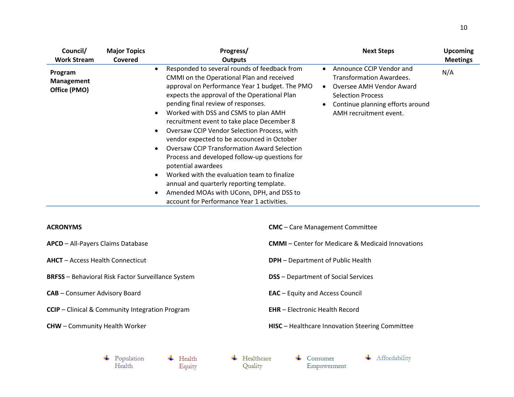| Council/                                     | <b>Major Topics</b> | Progress/                                                                                                                                                                                                                                                                                                                                                                                                                                                                                                                                                                                                                                                                                                                                     | <b>Next Steps</b>                                                                                                                                                          | <b>Upcoming</b> |
|----------------------------------------------|---------------------|-----------------------------------------------------------------------------------------------------------------------------------------------------------------------------------------------------------------------------------------------------------------------------------------------------------------------------------------------------------------------------------------------------------------------------------------------------------------------------------------------------------------------------------------------------------------------------------------------------------------------------------------------------------------------------------------------------------------------------------------------|----------------------------------------------------------------------------------------------------------------------------------------------------------------------------|-----------------|
| <b>Work Stream</b>                           | Covered             | <b>Outputs</b>                                                                                                                                                                                                                                                                                                                                                                                                                                                                                                                                                                                                                                                                                                                                |                                                                                                                                                                            | <b>Meetings</b> |
| Program<br><b>Management</b><br>Office (PMO) |                     | Responded to several rounds of feedback from<br>CMMI on the Operational Plan and received<br>approval on Performance Year 1 budget. The PMO<br>expects the approval of the Operational Plan<br>pending final review of responses.<br>Worked with DSS and CSMS to plan AMH<br>recruitment event to take place December 8<br><b>Oversaw CCIP Vendor Selection Process, with</b><br>vendor expected to be accounced in October<br><b>Oversaw CCIP Transformation Award Selection</b><br>Process and developed follow-up questions for<br>potential awardees<br>Worked with the evaluation team to finalize<br>annual and quarterly reporting template.<br>Amended MOAs with UConn, DPH, and DSS to<br>account for Performance Year 1 activities. | Announce CCIP Vendor and<br>Transformation Awardees.<br>Oversee AMH Vendor Award<br><b>Selection Process</b><br>Continue planning efforts around<br>AMH recruitment event. | N/A             |

| <b>ACRONYMS</b>                                                   | <b>CMC</b> - Care Management Committee                   |  |  |
|-------------------------------------------------------------------|----------------------------------------------------------|--|--|
| APCD - All-Payers Claims Database                                 | <b>CMMI</b> – Center for Medicare & Medicaid Innovations |  |  |
| <b>AHCT</b> – Access Health Connecticut                           | <b>DPH</b> - Department of Public Health                 |  |  |
| <b>BRFSS</b> - Behavioral Risk Factor Surveillance System         | <b>DSS</b> - Department of Social Services               |  |  |
| <b>CAB</b> - Consumer Advisory Board                              | <b>EAC</b> – Equity and Access Council                   |  |  |
| <b>CCIP</b> – Clinical & Community Integration Program            | <b>EHR</b> – Electronic Health Record                    |  |  |
| <b>CHW</b> - Community Health Worker                              | HISC - Healthcare Innovation Steering Committee          |  |  |
|                                                                   |                                                          |  |  |
| Healthcare<br>Population<br>Health<br>Health<br>Quality<br>Equity | Affordability<br>Consumer<br>Empowerment                 |  |  |

Equity